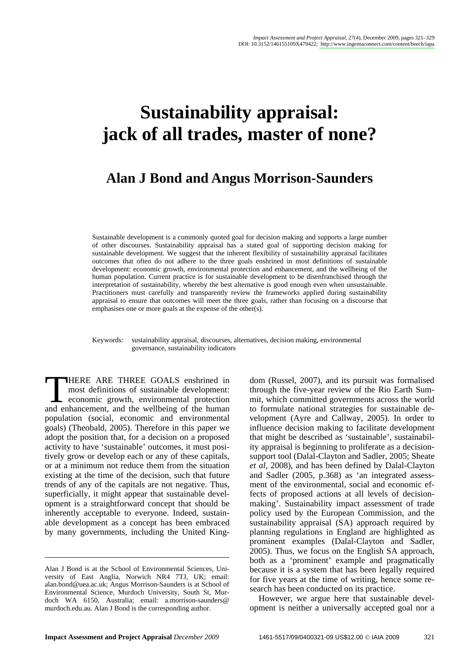# **Sustainability appraisal:** jack of all trades, master of none?

# **Alan J Bond and Angus Morrison-Saunders**

Sustainable development is a commonly quoted goal for decision making and supports a large number of other discourses. Sustainability appraisal has a stated goal of supporting decision making for sustainable development. We suggest that the inherent flexibility of sustainability appraisal facilitates outcomes that often do not adhere to the three goals enshrined in most definitions of sustainable development: economic growth, environmental protection and enhancement, and the wellbeing of the human population. Current practice is for sustainable development to be disenfranchised through the interpretation of sustainability, whereby the best alternative is good enough even when unsustainable. Practitioners must carefully and transparently review the frameworks applied during sustainability appraisal to ensure that outcomes will meet the three goals, rather than focusing on a discourse that emphasises one or more goals at the expense of the other(s).

Keywords: sustainability appraisal, discourses, alternatives, decision making, environmental governance, sustainability indicators

HERE ARE THREE GOALS enshrined in most definitions of sustainable development: economic growth, environmental protection and enhancement, and the wellbeing of the human population (social, economic and environmental goals) (Theobald, 2005). Therefore in this paper we adopt the position that, for a decision on a proposed activity to have 'sustainable' outcomes, it must positively grow or develop each or any of these capitals, or at a minimum not reduce them from the situation existing at the time of the decision, such that future trends of any of the capitals are not negative. Thus, superficially, it might appear that sustainable development is a straightforward concept that should be inherently acceptable to everyone. Indeed, sustainable development as a concept has been embraced by many governments, including the United King-

dom (Russel, 2007), and its pursuit was formalised through the five-year review of the Rio Earth Summit, which committed governments across the world to formulate national strategies for sustainable development (Ayre and Callway, 2005). In order to influence decision making to facilitate development that might be described as 'sustainable', sustainability appraisal is beginning to proliferate as a decisionsupport tool (Dalal-Clayton and Sadler, 2005; Sheate *et al.* 2008), and has been defined by Dalal-Clayton and Sadler (2005, p.368) as 'an integrated assessment of the environmental, social and economic effects of proposed actions at all levels of decisionmaking'. Sustainability impact assessment of trade policy used by the European Commission, and the sustainability appraisal (SA) approach required by planning regulations in England are highlighted as prominent examples (Dalal-Clayton and Sadler, 2005). Thus, we focus on the English SA approach, both as a 'prominent' example and pragmatically because it is a system that has been legally required for five years at the time of writing, hence some research has been conducted on its practice.

However, we argue here that sustainable development is neither a universally accepted goal nor a

Alan J Bond is at the School of Environmental Sciences, University of East Anglia, Norwich NR4 7TJ, UK; email: alan.bond@uea.ac.uk; Angus Morrison-Saunders is at School of Environmental Science, Murdoch University, South St, Murdoch WA 6150, Australia; email: a.morrison-saunders@ murdoch.edu.au. Alan J Bond is the corresponding author.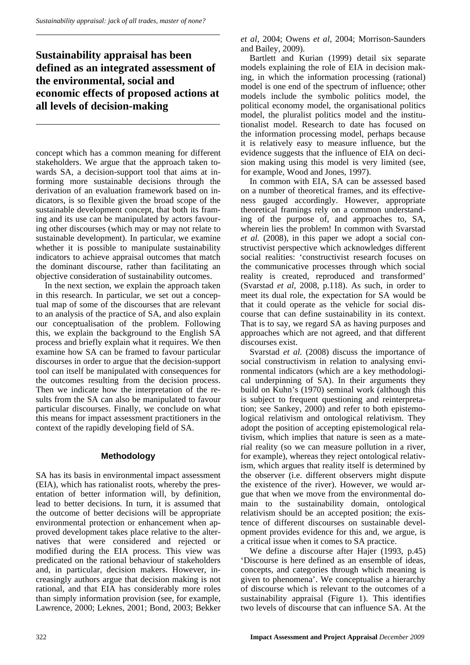# **Sustainability appraisal has been** defined as an integrated assessment of the environmental, social and economic effects of proposed actions at all levels of decision-making

concept which has a common meaning for different stakeholders. We argue that the approach taken towards SA, a decision-support tool that aims at informing more sustainable decisions through the derivation of an evaluation framework based on indicators, is so flexible given the broad scope of the sustainable development concept, that both its framing and its use can be manipulated by actors favouring other discourses (which may or may not relate to sustainable development). In particular, we examine whether it is possible to manipulate sustainability indicators to achieve appraisal outcomes that match the dominant discourse, rather than facilitating an objective consideration of sustainability outcomes.

In the next section, we explain the approach taken in this research. In particular, we set out a conceptual map of some of the discourses that are relevant to an analysis of the practice of SA, and also explain our conceptualisation of the problem. Following this, we explain the background to the English SA process and briefly explain what it requires. We then examine how SA can be framed to favour particular discourses in order to argue that the decision-support tool can itself be manipulated with consequences for the outcomes resulting from the decision process. Then we indicate how the interpretation of the results from the SA can also be manipulated to favour particular discourses. Finally, we conclude on what this means for impact assessment practitioners in the context of the rapidly developing field of SA.

#### **Methodology**

SA has its basis in environmental impact assessment (EIA), which has rationalist roots, whereby the presentation of better information will, by definition, lead to better decisions. In turn, it is assumed that the outcome of better decisions will be appropriate environmental protection or enhancement when approved development takes place relative to the alternatives that were considered and rejected or modified during the EIA process. This view was predicated on the rational behaviour of stakeholders and, in particular, decision makers. However, increasingly authors argue that decision making is not rational, and that EIA has considerably more roles than simply information provision (see, for example, Lawrence, 2000; Leknes, 2001; Bond, 2003; Bekker et al, 2004; Owens et al, 2004; Morrison-Saunders and Bailey, 2009).

Bartlett and Kurian (1999) detail six separate models explaining the role of EIA in decision making, in which the information processing (rational) model is one end of the spectrum of influence; other models include the symbolic politics model, the political economy model, the organisational politics model, the pluralist politics model and the institutionalist model. Research to date has focused on the information processing model, perhaps because it is relatively easy to measure influence, but the evidence suggests that the influence of EIA on decision making using this model is very limited (see, for example. Wood and Jones, 1997).

In common with EIA, SA can be assessed based on a number of theoretical frames, and its effectiveness gauged accordingly. However, appropriate theoretical framings rely on a common understanding of the purpose of, and approaches to, SA, wherein lies the problem! In common with Svarstad et al. (2008), in this paper we adopt a social constructivist perspective which acknowledges different social realities: 'constructivist research focuses on the communicative processes through which social reality is created, reproduced and transformed' (Svarstad et al, 2008, p.118). As such, in order to meet its dual role, the expectation for SA would be that it could operate as the vehicle for social discourse that can define sustainability in its context. That is to say, we regard SA as having purposes and approaches which are not agreed, and that different discourses exist.

Svarstad *et al.* (2008) discuss the importance of social constructivism in relation to analysing environmental indicators (which are a key methodological underpinning of SA). In their arguments they build on Kuhn's (1970) seminal work (although this is subject to frequent questioning and reinterpretation; see Sankey, 2000) and refer to both epistemological relativism and ontological relativism. They adopt the position of accepting epistemological relativism, which implies that nature is seen as a material reality (so we can measure pollution in a river, for example), whereas they reject ontological relativism, which argues that reality itself is determined by the observer (i.e. different observers might dispute the existence of the river). However, we would argue that when we move from the environmental domain to the sustainability domain, ontological relativism should be an accepted position; the existence of different discourses on sustainable development provides evidence for this and, we argue, is a critical issue when it comes to SA practice.

We define a discourse after Hajer (1993, p.45) 'Discourse is here defined as an ensemble of ideas, concepts, and categories through which meaning is given to phenomena'. We conceptualise a hierarchy of discourse which is relevant to the outcomes of a sustainability appraisal (Figure 1). This identifies two levels of discourse that can influence SA. At the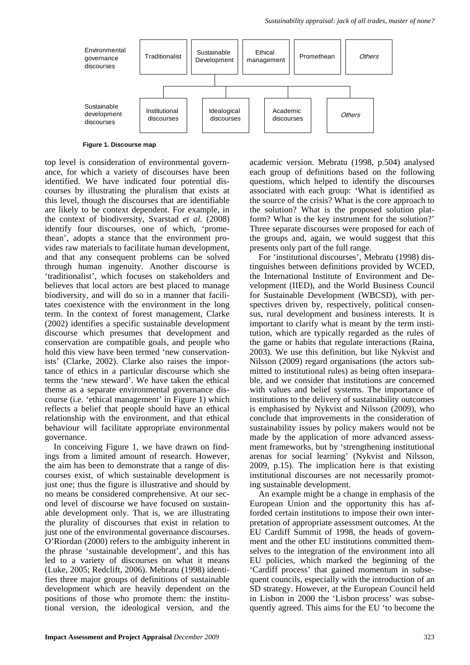

#### Figure 1. Discourse map

top level is consideration of environmental governance, for which a variety of discourses have been identified. We have indicated four potential discourses by illustrating the pluralism that exists at this level, though the discourses that are identifiable are likely to be context dependent. For example, in the context of biodiversity, Svarstad et al. (2008) identify four discourses, one of which, 'promethean', adopts a stance that the environment provides raw materials to facilitate human development, and that any consequent problems can be solved through human ingenuity. Another discourse is 'traditionalist', which focuses on stakeholders and believes that local actors are best placed to manage biodiversity, and will do so in a manner that facilitates coexistence with the environment in the long term. In the context of forest management, Clarke (2002) identifies a specific sustainable development discourse which presumes that development and conservation are compatible goals, and people who hold this view have been termed 'new conservationists' (Clarke, 2002). Clarke also raises the importance of ethics in a particular discourse which she terms the 'new steward'. We have taken the ethical theme as a separate environmental governance discourse (i.e. 'ethical management' in Figure 1) which reflects a belief that people should have an ethical relationship with the environment, and that ethical behaviour will facilitate appropriate environmental governance.

In conceiving Figure 1, we have drawn on findings from a limited amount of research. However, the aim has been to demonstrate that a range of discourses exist, of which sustainable development is just one; thus the figure is illustrative and should by no means be considered comprehensive. At our second level of discourse we have focused on sustainable development only. That is, we are illustrating the plurality of discourses that exist in relation to just one of the environmental governance discourses. O'Riordan (2000) refers to the ambiguity inherent in the phrase 'sustainable development', and this has led to a variety of discourses on what it means (Luke, 2005; Redclift, 2006). Mebratu (1998) identifies three major groups of definitions of sustainable development which are heavily dependent on the positions of those who promote them: the institutional version, the ideological version, and the

academic version. Mebratu (1998, p.504) analysed each group of definitions based on the following questions, which helped to identify the discourses associated with each group: 'What is identified as the source of the crisis? What is the core approach to the solution? What is the proposed solution platform? What is the key instrument for the solution? Three separate discourses were proposed for each of the groups and, again, we would suggest that this presents only part of the full range.

For 'institutional discourses', Mebratu (1998) distinguishes between definitions provided by WCED, the International Institute of Environment and Development (IIED), and the World Business Council for Sustainable Development (WBCSD), with perspectives driven by, respectively, political consensus, rural development and business interests. It is important to clarify what is meant by the term institution, which are typically regarded as the rules of the game or habits that regulate interactions (Raina, 2003). We use this definition, but like Nykvist and Nilsson (2009) regard organisations (the actors submitted to institutional rules) as being often inseparable, and we consider that institutions are concerned with values and belief systems. The importance of institutions to the delivery of sustainability outcomes is emphasised by Nykvist and Nilsson (2009), who conclude that improvements in the consideration of sustainability issues by policy makers would not be made by the application of more advanced assessment frameworks, but by 'strengthening institutional arenas for social learning' (Nykvist and Nilsson, 2009, p.15). The implication here is that existing institutional discourses are not necessarily promoting sustainable development.

An example might be a change in emphasis of the European Union and the opportunity this has afforded certain institutions to impose their own interpretation of appropriate assessment outcomes. At the EU Cardiff Summit of 1998, the heads of government and the other EU institutions committed themselves to the integration of the environment into all EU policies, which marked the beginning of the 'Cardiff process' that gained momentum in subsequent councils, especially with the introduction of an SD strategy. However, at the European Council held in Lisbon in 2000 the 'Lisbon process' was subsequently agreed. This aims for the EU 'to become the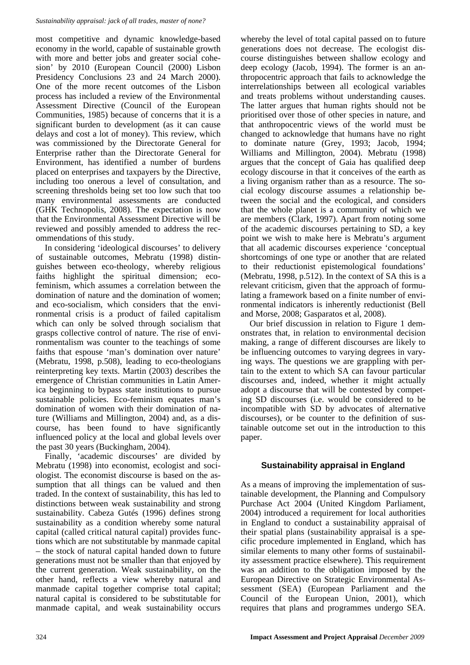#### Sustainability appraisal: jack of all trades, master of none?

most competitive and dynamic knowledge-based economy in the world, capable of sustainable growth with more and better jobs and greater social cohesion' by 2010 (European Council (2000) Lisbon Presidency Conclusions 23 and 24 March 2000). One of the more recent outcomes of the Lisbon process has included a review of the Environmental Assessment Directive (Council of the European Communities, 1985) because of concerns that it is a significant burden to development (as it can cause delays and cost a lot of money). This review, which was commissioned by the Directorate General for Enterprise rather than the Directorate General for Environment, has identified a number of burdens placed on enterprises and taxpayers by the Directive, including too onerous a level of consultation, and screening thresholds being set too low such that too many environmental assessments are conducted (GHK Technopolis, 2008). The expectation is now that the Environmental Assessment Directive will be reviewed and possibly amended to address the recommendations of this study.

In considering 'ideological discourses' to delivery of sustainable outcomes, Mebratu (1998) distinguishes between eco-theology, whereby religious faiths highlight the spiritual dimension; ecofeminism, which assumes a correlation between the domination of nature and the domination of women; and eco-socialism, which considers that the environmental crisis is a product of failed capitalism which can only be solved through socialism that grasps collective control of nature. The rise of environmentalism was counter to the teachings of some faiths that espouse 'man's domination over nature' (Mebratu, 1998, p.508), leading to eco-theologians reinterpreting key texts. Martin (2003) describes the emergence of Christian communities in Latin America beginning to bypass state institutions to pursue sustainable policies. Eco-feminism equates man's domination of women with their domination of nature (Williams and Millington, 2004) and, as a discourse, has been found to have significantly influenced policy at the local and global levels over the past 30 years (Buckingham, 2004).

Finally, 'academic discourses' are divided by Mebratu (1998) into economist, ecologist and sociologist. The economist discourse is based on the assumption that all things can be valued and then traded. In the context of sustainability, this has led to distinctions between weak sustainability and strong sustainability. Cabeza Gutés (1996) defines strong sustainability as a condition whereby some natural capital (called critical natural capital) provides functions which are not substitutable by manmade capital - the stock of natural capital handed down to future generations must not be smaller than that enjoyed by the current generation. Weak sustainability, on the other hand, reflects a view whereby natural and manmade capital together comprise total capital; natural capital is considered to be substitutable for manmade capital, and weak sustainability occurs

whereby the level of total capital passed on to future generations does not decrease. The ecologist discourse distinguishes between shallow ecology and deep ecology (Jacob, 1994). The former is an anthropocentric approach that fails to acknowledge the interrelationships between all ecological variables and treats problems without understanding causes. The latter argues that human rights should not be prioritised over those of other species in nature, and that anthropocentric views of the world must be changed to acknowledge that humans have no right to dominate nature (Grev. 1993: Jacob. 1994: Williams and Millington, 2004). Mebratu (1998) argues that the concept of Gaia has qualified deep ecology discourse in that it conceives of the earth as a living organism rather than as a resource. The social ecology discourse assumes a relationship between the social and the ecological, and considers that the whole planet is a community of which we are members (Clark, 1997). Apart from noting some of the academic discourses pertaining to SD, a key point we wish to make here is Mebratu's argument that all academic discourses experience 'conceptual shortcomings of one type or another that are related to their reductionist epistemological foundations' (Mebratu, 1998, p.512). In the context of SA this is a relevant criticism, given that the approach of formulating a framework based on a finite number of environmental indicators is inherently reductionist (Bell and Morse, 2008; Gasparatos et al, 2008).

Our brief discussion in relation to Figure 1 demonstrates that, in relation to environmental decision making, a range of different discourses are likely to be influencing outcomes to varying degrees in varying ways. The questions we are grappling with pertain to the extent to which SA can favour particular discourses and, indeed, whether it might actually adopt a discourse that will be contested by competing SD discourses (i.e. would be considered to be incompatible with SD by advocates of alternative discourses), or be counter to the definition of sustainable outcome set out in the introduction to this paper.

### **Sustainability appraisal in England**

As a means of improving the implementation of sustainable development, the Planning and Compulsory Purchase Act 2004 (United Kingdom Parliament, 2004) introduced a requirement for local authorities in England to conduct a sustainability appraisal of their spatial plans (sustainability appraisal is a specific procedure implemented in England, which has similar elements to many other forms of sustainability assessment practice elsewhere). This requirement was an addition to the obligation imposed by the European Directive on Strategic Environmental Assessment (SEA) (European Parliament and the Council of the European Union, 2001), which requires that plans and programmes undergo SEA.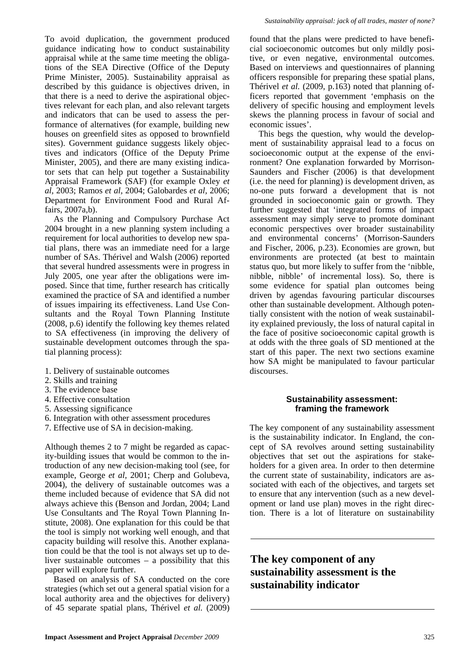To avoid duplication, the government produced guidance indicating how to conduct sustainability appraisal while at the same time meeting the obligations of the SEA Directive (Office of the Deputy Prime Minister, 2005). Sustainability appraisal as described by this guidance is objectives driven, in that there is a need to derive the aspirational objectives relevant for each plan, and also relevant targets and indicators that can be used to assess the performance of alternatives (for example, building new houses on greenfield sites as opposed to brownfield sites). Government guidance suggests likely objectives and indicators (Office of the Deputy Prime Minister, 2005), and there are many existing indicator sets that can help put together a Sustainability Appraisal Framework (SAF) (for example Oxley et al, 2003; Ramos et al, 2004; Galobardes et al, 2006; Department for Environment Food and Rural Affairs, 2007a,b).

As the Planning and Compulsory Purchase Act 2004 brought in a new planning system including a requirement for local authorities to develop new spatial plans, there was an immediate need for a large number of SAs. Thérivel and Walsh (2006) reported that several hundred assessments were in progress in July 2005, one year after the obligations were imposed. Since that time, further research has critically examined the practice of SA and identified a number of issues impairing its effectiveness. Land Use Consultants and the Royal Town Planning Institute (2008, p.6) identify the following key themes related to SA effectiveness (in improving the delivery of sustainable development outcomes through the spatial planning process):

- 1. Delivery of sustainable outcomes
- 2. Skills and training
- 3. The evidence base
- 4. Effective consultation
- 5. Assessing significance
- 6. Integration with other assessment procedures
- 7. Effective use of SA in decision-making.

Although themes 2 to 7 might be regarded as capacity-building issues that would be common to the introduction of any new decision-making tool (see, for example, George et al, 2001; Cherp and Golubeva, 2004), the delivery of sustainable outcomes was a theme included because of evidence that SA did not always achieve this (Benson and Jordan, 2004; Land Use Consultants and The Royal Town Planning Institute, 2008). One explanation for this could be that the tool is simply not working well enough, and that capacity building will resolve this. Another explanation could be that the tool is not always set up to deliver sustainable outcomes  $-$  a possibility that this paper will explore further.

Based on analysis of SA conducted on the core strategies (which set out a general spatial vision for a local authority area and the objectives for delivery) of 45 separate spatial plans, Thérivel et al. (2009) found that the plans were predicted to have beneficial socioeconomic outcomes but only mildly positive, or even negative, environmental outcomes. Based on interviews and questionnaires of planning officers responsible for preparing these spatial plans, Thérivel et al. (2009, p.163) noted that planning officers reported that government 'emphasis on the delivery of specific housing and employment levels skews the planning process in favour of social and economic issues'.

This begs the question, why would the development of sustainability appraisal lead to a focus on socioeconomic output at the expense of the environment? One explanation forwarded by Morrison-Saunders and Fischer (2006) is that development (i.e. the need for planning) is development driven, as no-one puts forward a development that is not grounded in socioeconomic gain or growth. They further suggested that 'integrated forms of impact assessment may simply serve to promote dominant economic perspectives over broader sustainability and environmental concerns' (Morrison-Saunders and Fischer, 2006, p.23). Economies are grown, but environments are protected (at best to maintain status quo, but more likely to suffer from the 'nibble, nibble, nibble' of incremental loss). So, there is some evidence for spatial plan outcomes being driven by agendas favouring particular discourses other than sustainable development. Although potentially consistent with the notion of weak sustainability explained previously, the loss of natural capital in the face of positive socioeconomic capital growth is at odds with the three goals of SD mentioned at the start of this paper. The next two sections examine how SA might be manipulated to favour particular discourses.

#### **Sustainability assessment:** framing the framework

The key component of any sustainability assessment is the sustainability indicator. In England, the concept of SA revolves around setting sustainability objectives that set out the aspirations for stakeholders for a given area. In order to then determine the current state of sustainability, indicators are associated with each of the objectives, and targets set to ensure that any intervention (such as a new development or land use plan) moves in the right direction. There is a lot of literature on sustainability

# The key component of any sustainability assessment is the sustainability indicator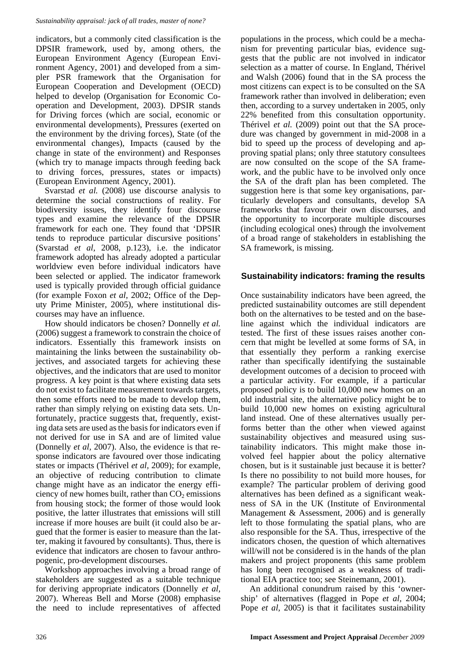indicators, but a commonly cited classification is the DPSIR framework, used by, among others, the European Environment Agency (European Environment Agency, 2001) and developed from a simpler PSR framework that the Organisation for European Cooperation and Development (OECD) helped to develop (Organisation for Economic Cooperation and Development, 2003). DPSIR stands for Driving forces (which are social, economic or environmental developments), Pressures (exerted on the environment by the driving forces), State (of the environmental changes), Impacts (caused by the change in state of the environment) and Responses (which try to manage impacts through feeding back) to driving forces, pressures, states or impacts) (European Environment Agency, 2001).

Svarstad et al. (2008) use discourse analysis to determine the social constructions of reality. For biodiversity issues, they identify four discourse types and examine the relevance of the DPSIR framework for each one. They found that 'DPSIR tends to reproduce particular discursive positions' (Svarstad *et al*, 2008, p.123), i.e. the indicator framework adopted has already adopted a particular worldview even before individual indicators have been selected or applied. The indicator framework used is typically provided through official guidance (for example Foxon *et al*, 2002; Office of the Deputy Prime Minister, 2005), where institutional discourses may have an influence.

How should indicators be chosen? Donnelly et al. (2006) suggest a framework to constrain the choice of indicators. Essentially this framework insists on maintaining the links between the sustainability objectives, and associated targets for achieving these objectives, and the indicators that are used to monitor progress. A key point is that where existing data sets do not exist to facilitate measurement towards targets, then some efforts need to be made to develop them, rather than simply relying on existing data sets. Unfortunately, practice suggests that, frequently, existing data sets are used as the basis for indicators even if not derived for use in SA and are of limited value (Donnelly *et al.* 2007). Also, the evidence is that response indicators are favoured over those indicating states or impacts (Thérivel *et al*, 2009); for example, an objective of reducing contribution to climate change might have as an indicator the energy efficiency of new homes built, rather than  $CO<sub>2</sub>$  emissions from housing stock; the former of those would look positive, the latter illustrates that emissions will still increase if more houses are built (it could also be argued that the former is easier to measure than the latter, making it favoured by consultants). Thus, there is evidence that indicators are chosen to favour anthropogenic, pro-development discourses.

Workshop approaches involving a broad range of stakeholders are suggested as a suitable technique for deriving appropriate indicators (Donnelly et al, 2007). Whereas Bell and Morse (2008) emphasise the need to include representatives of affected populations in the process, which could be a mechanism for preventing particular bias, evidence suggests that the public are not involved in indicator selection as a matter of course. In England, Thérivel and Walsh (2006) found that in the SA process the most citizens can expect is to be consulted on the SA framework rather than involved in deliberation; even then, according to a survey undertaken in 2005, only 22% benefited from this consultation opportunity. Thérivel et al. (2009) point out that the SA procedure was changed by government in mid-2008 in a bid to speed up the process of developing and approving spatial plans; only three statutory consultees are now consulted on the scope of the SA framework, and the public have to be involved only once the SA of the draft plan has been completed. The suggestion here is that some key organisations, particularly developers and consultants, develop SA frameworks that favour their own discourses, and the opportunity to incorporate multiple discourses (including ecological ones) through the involvement of a broad range of stakeholders in establishing the SA framework, is missing.

## Sustainability indicators: framing the results

Once sustainability indicators have been agreed, the predicted sustainability outcomes are still dependent both on the alternatives to be tested and on the baseline against which the individual indicators are tested. The first of these issues raises another concern that might be levelled at some forms of SA, in that essentially they perform a ranking exercise rather than specifically identifying the sustainable development outcomes of a decision to proceed with a particular activity. For example, if a particular proposed policy is to build 10,000 new homes on an old industrial site, the alternative policy might be to build 10,000 new homes on existing agricultural land instead. One of these alternatives usually performs better than the other when viewed against sustainability objectives and measured using sustainability indicators. This might make those involved feel happier about the policy alternative chosen, but is it sustainable just because it is better? Is there no possibility to not build more houses, for example? The particular problem of deriving good alternatives has been defined as a significant weakness of SA in the UK (Institute of Environmental Management  $\&$  Assessment, 2006) and is generally left to those formulating the spatial plans, who are also responsible for the SA. Thus, irrespective of the indicators chosen, the question of which alternatives will/will not be considered is in the hands of the plan makers and project proponents (this same problem has long been recognised as a weakness of traditional EIA practice too; see Steinemann, 2001).

An additional conundrum raised by this 'ownership' of alternatives (flagged in Pope et al, 2004; Pope et al, 2005) is that it facilitates sustainability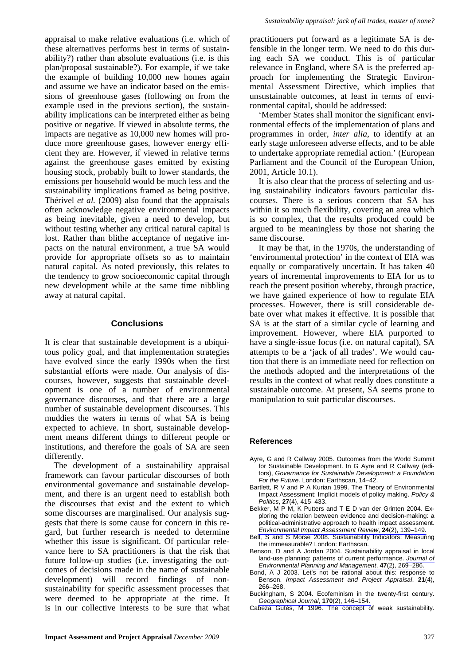appraisal to make relative evaluations (i.e. which of these alternatives performs best in terms of sustainability?) rather than absolute evaluations (*i.e.* is this plan/proposal sustainable?). For example, if we take the example of building 10,000 new homes again and assume we have an indicator based on the emissions of greenhouse gases (following on from the example used in the previous section), the sustainability implications can be interpreted either as being positive or negative. If viewed in absolute terms, the impacts are negative as 10,000 new homes will produce more greenhouse gases, however energy efficient they are. However, if viewed in relative terms against the greenhouse gases emitted by existing housing stock, probably built to lower standards, the emissions per household would be much less and the sustainability implications framed as being positive. Thérivel *et al.*  $(2009)$  also found that the appraisals often acknowledge negative environmental impacts as being inevitable, given a need to develop, but without testing whether any critical natural capital is lost. Rather than blithe acceptance of negative impacts on the natural environment, a true SA would provide for appropriate offsets so as to maintain natural capital. As noted previously, this relates to the tendency to grow socioeconomic capital through new development while at the same time nibbling away at natural capital.

#### **Conclusions**

It is clear that sustainable development is a ubiquitous policy goal, and that implementation strategies have evolved since the early 1990s when the first substantial efforts were made. Our analysis of discourses, however, suggests that sustainable development is one of a number of environmental governance discourses, and that there are a large number of sustainable development discourses. This muddies the waters in terms of what SA is being expected to achieve. In short, sustainable development means different things to different people or institutions, and therefore the goals of SA are seen differently.

The development of a sustainability appraisal framework can favour particular discourses of both environmental governance and sustainable development, and there is an urgent need to establish both the discourses that exist and the extent to which some discourses are marginalised. Our analysis suggests that there is some cause for concern in this regard, but further research is needed to determine whether this issue is significant. Of particular relevance here to SA practitioners is that the risk that future follow-up studies (i.e. investigating the outcomes of decisions made in the name of sustainable development) will record findings of  $non$ sustainability for specific assessment processes that were deemed to be appropriate at the time. It is in our collective interests to be sure that what

practitioners put forward as a legitimate SA is defensible in the longer term. We need to do this during each SA we conduct. This is of particular relevance in England, where SA is the preferred approach for implementing the Strategic Environmental Assessment Directive, which implies that unsustainable outcomes, at least in terms of environmental capital, should be addressed:

'Member States shall monitor the significant environmental effects of the implementation of plans and programmes in order, *inter alia*, to identify at an early stage unforeseen adverse effects, and to be able to undertake appropriate remedial action.' (European Parliament and the Council of the European Union, 2001. Article 10.1).

It is also clear that the process of selecting and using sustainability indicators favours particular discourses. There is a serious concern that SA has within it so much flexibility, covering an area which is so complex, that the results produced could be argued to be meaningless by those not sharing the same discourse.

It may be that, in the 1970s, the understanding of 'environmental protection' in the context of EIA was equally or comparatively uncertain. It has taken 40 years of incremental improvements to EIA for us to reach the present position whereby, through practice, we have gained experience of how to regulate EIA processes. However, there is still considerable debate over what makes it effective. It is possible that SA is at the start of a similar cycle of learning and improvement. However, where EIA purported to have a single-issue focus (i.e. on natural capital), SA attempts to be a 'jack of all trades'. We would caution that there is an immediate need for reflection on the methods adopted and the interpretations of the results in the context of what really does constitute a sustainable outcome. At present, SA seems prone to manipulation to suit particular discourses.

#### **References**

- Ayre, G and R Callway 2005. Outcomes from the World Summit for Sustainable Development. In G Ayre and R Callway (editors), Governance for Sustainable Development: a Foundation For the Future. London: Earthscan, 14-42.
- Bartlett, R V and P A Kurian 1999. The Theory of Environmental Impact Assessment: Implicit models of policy making. Policy & Politics, 27(4), 415-433.
- Bekker, M P M, K Putters and T E D van der Grinten 2004. Exploring the relation between evidence and decision-making: a political-administrative approach to health impact assessment. .<br>Environmental Impact Assessment Review, 24(2), 139-149.
- Bell, S and S Morse 2008. Sustainability Indicators: Measuring the immeasurable? London: Earthscan.
- Benson, D and A Jordan 2004. Sustainability appraisal in local land-use planning: patterns of current performance. Journal of Environmental Planning and Management, 47(2), 269-286.
- Bond, A J 2003. Let's not be rational about this: response to Benson. Impact Assessment and Project Appraisal, 21(4), 266-268.
- Buckingham, S 2004. Ecofeminism in the twenty-first century. Geographical Journal, 170(2), 146-154.
- Cabeza Gutés, M 1996. The concept of weak sustainability.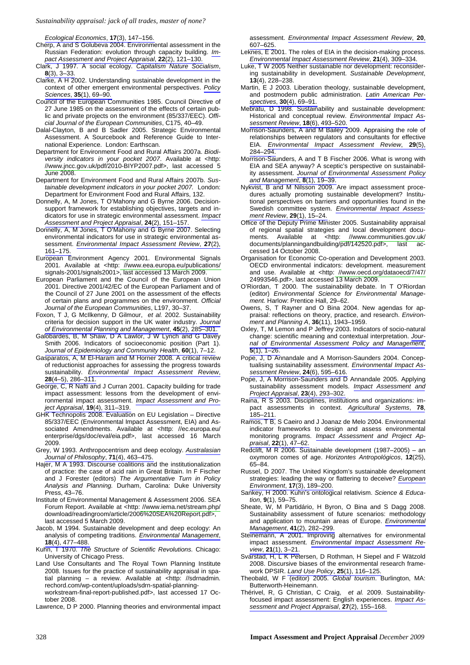#### Sustainability appraisal: jack of all trades, master of none?

Ecological Economics, 17(3), 147-156.

- Cherp, A and S Golubeva 2004. Environmental assessment in the Russian Federation: evolution through capacity building. Impact Assessment and Project Appraisal, 22(2), 121-130.
- Clark, J 1997. A social ecology. Capitalism Nature Socialism,  $8(3), 3-33.$
- Clarke, A H 2002. Understanding sustainable development in the context of other emergent environmental perspectives. Policy Sciences, 35(1), 69-90.
- Council of the European Communities 1985. Council Directive of 27 June 1985 on the assessment of the effects of certain public and private projects on the environment (85/337/EEC). Official Journal of the European Communities, C175, 40-49.
- Dalal-Clayton, B and B Sadler 2005. Strategic Environmental Assessment. A Sourcebook and Reference Guide to International Experience. London: Earthscan.
- Department for Environment Food and Rural Affairs 2007a. Biodiversity indicators in your pocket 2007. Available at <http: //www.jncc.gov.uk/pdf/2010-BIYP2007.pdf>, last accessed 5 June 2008.
- Department for Environment Food and Rural Affairs 2007b. Sustainable development indicators in your pocket 2007. London: Department for Environment Food and Rural Affairs, 132.
- Donnelly, A, M Jones, T O'Mahony and G Byrne 2006. Decisionsupport framework for establishing objectives, targets and indicators for use in strategic environmental assessment. Impact Assessment and Project Appraisal, 24(2), 151-157.
- Donnelly, A, M Jones, T O'Mahony and G Byrne 2007. Selecting environmental indicators for use in strategic environmental assessment. Environmental Impact Assessment Review, 27(2), 161-175
- European Environment Agency 2001. Environmental Signals 2001. Available at <http: //www.eea.europa.eu/publications/ signals-2001/signals2001>, last accessed 13 March 2009.
- European Parliament and the Council of the European Union 2001. Directive 2001/42/EC of the European Parliament and of the Council of 27 June 2001 on the assessment of the effects of certain plans and programmes on the environment. Official Journal of the European Communities, L197, 30-37.
- Foxon, T J, G McIlkenny, D Gilmour, et al. 2002. Sustainability criteria for decision support in the UK water industry. Journal of Environmental Planning and Management, 45(2), 285-301.
- Galobardes, B, M Shaw, D A Lawlor, J W Lynch and G Davey Smith 2006. Indicators of socioeconomic position (Part 1). Journal of Epidemiology and Community Health, 60(1), 7-12.
- Gasparatos, A, M El-Haram and M Horner 2008. A critical review of reductionist approaches for assessing the progress towards sustainability. Environmental Impact Assessment Review,  $28(4-5)$ ,  $286-311$ .
- George, C, R Nafti and J Curran 2001. Capacity building for trade impact assessment: lessons from the development of environmental impact assessment. Impact Assessment and Project Appraisal, 19(4), 311-319.
- GHK Technopolis 2008. Evaluation on EU Legislation Directive 85/337/EEC (Environmental Impact Assessment, EIA) and Associated Amendments. Available at <http: //ec.europa.eu/ enterprise/dgs/doc/eval/eia.pdf>, last accessed 16 March 2009.
- Grey, W 1993. Anthropocentrism and deep ecology. Australasian Journal of Philosophy, 71(4), 463-475.
- Hajer, M A 1993. Discourse coalitions and the institutionalization of practice: the case of acid rain in Great Britain. In F Fischer and J Forester (editors) The Argumentative Turn in Policy Analysis and Planning. Durham, Carolina: Duke University Press, 43-76.
- Institute of Environmental Management & Assessment 2006. SEA Forum Report. Available at <http: //www.iema.net/stream.php/ download/readingroom/article/2006%20SEA%20Report.pdf>, last accessed 5 March 2009.
- Jacob, M 1994. Sustainable development and deep ecology: An analysis of competing traditions. Environmental Management,  $18(4)$ , 477-488.
- Kuhn, T 1970. The Structure of Scientific Revolutions. Chicago: University of Chicago Press.
- Land Use Consultants and The Royal Town Planning Institute 2008. Issues for the practice of sustainability appraisal in spatial planning - a review. Available at <http: //sdrnadmin. rechord.com/wp-content/uploads/sdrn-spatial-planningworkstream-final-report-published.pdf>, last accessed 17 Oc-

tober 2008

Lawrence, D P 2000. Planning theories and environmental impact

assessment. Environmental Impact Assessment Review, 20, 607-625.

- Leknes, E 2001. The roles of EIA in the decision-making process. Environmental Impact Assessment Review, 21(4), 309-334.
- Luke, T W 2005 Neither sustainable nor development: reconsidering sustainability in development. Sustainable Development,  $13(4)$ , 228-238.
- Martin, E J 2003. Liberation theology, sustainable development, and postmodern public administration. Latin American Perspectives, 30(4), 69-91.
- Mebratu, D 1998. Sustainability and sustainable development: Historical and conceptual review. Environmental Impact Assessment Review, 18(6), 493-520.
- Morrison-Saunders, A and M Bailey 2009. Appraising the role of relationships between regulators and consultants for effective EIA. Environmental Impact Assessment Review, 29(5),  $284 - 294.$
- Morrison-Saunders, A and T B Fischer 2006. What is wrong with EIA and SEA anyway? A sceptic's perspective on sustainability assessment. Journal of Environmental Assessment Policy and Management, 8(1), 19-39.
- Nykvist, B and M Nilsson 2009. Are impact assessment procedures actually promoting sustainable development? Institutional perspectives on barriers and opportunities found in the Swedish committee system. Environmental Impact Assessment Review, 29(1), 15-24.
- Office of the Deputy Prime Minister 2005. Sustainability appraisal of regional spatial strategies and local development docu- $\mathsf{chttp}$ : //www.communities.gov.uk/ ments. Available at documents/planningandbuilding/pdf/142520.pdf>, last  $rac{1}{2}$ cessed 14 October 2008.
- Organisation for Economic Co-operation and Development 2003. OECD environmental indicators: development. measurement and use. Available at <http://www.oecd.org/dataoecd/7/47/<br>24993546.pdf>, last accessed 13 March 2009.
- O'Riordan, T 2000. The sustainability debate. In T O'Riordan (editor) Environmental Science for Environmental Management. Harlow: Prentice Hall, 29-62.
- Owens, S, T Rayner and O Bina 2004. New agendas for appraisal: reflections on theory, practice, and research. Environment and Planning A, 36(11), 1943-1959.
- Oxley, T, M Lemon and P Jeffrey 2003. Indicators of socio-natural change: scientific meaning and contextual interpretation. Journal of Environmental Assessment Policy and Management,  $5(1), 1-26.$
- Pope, J. D Annandale and A Morrison-Saunders 2004. Conceptualising sustainability assessment. Environmental Impact Assessment Review, 24(6), 595-616.
- Pope, J, A Morrison-Saunders and D Annandale 2005. Applying sustainability assessment models. Impact Assessment and Project Appraisal, 23(4), 293-302.
- Raina, R S 2003. Disciplines, institutions and organizations: impact assessments in context. Agricultural Systems, 78, 185-211.
- Ramos, T B, S Caeiro and J Joanaz de Melo 2004. Environmental indicator frameworks to design and assess environmental monitoring programs. Impact Assessment and Project Appraisal, 22(1), 47-62.
- Redclift, M R 2006. Sustainable development (1987-2005) an oxymoron comes of age. Horizontes Antropológicos, 12(25),  $65 - 84$
- Russel, D 2007. The United Kingdom's sustainable development strategies: leading the way or flattering to deceive? European Environment, 17(3), 189-200.
- Sankey, H 2000. Kuhn's ontological relativism. Science & Education,  $9(1)$ , 59-75.
- Sheate, W, M Partidário, H Byron, O Bina and S Dagg 2008. Sustainability assessment of future scenarios: methodology and application to mountain areas of Europe. Environmental Management, 41(2), 282-299.
- Steinemann, A 2001. Improving alternatives for environmental impact assessment. Environmental Impact Assessment Review, 21(1), 3-21.
- Svarstad, H, L K Petersen, D Rothman, H Siepel and F Wätzold 2008. Discursive biases of the environmental research framework DPSIR. Land Use Policy, 25(1), 116-125.
- Theobald, W F (editor) 2005. Global tourism. Burlington, MA: Butterworth-Heinemann.
- Thérivel, R, G Christian, C Craig, et al. 2009. Sustainabilityfocused impact assessment: English experiences. Impact Assessment and Project Appraisal, 27(2), 155-168.